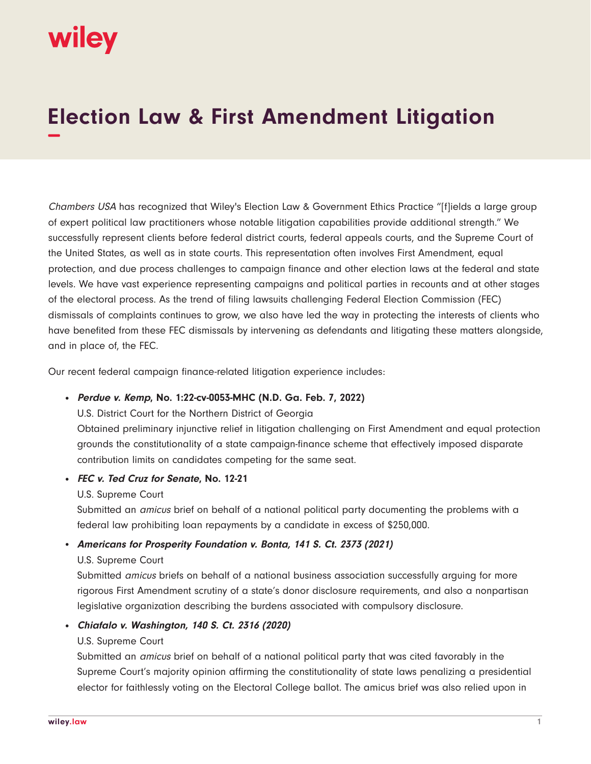# wiley

## **Election Law & First Amendment Litigation −**

Chambers USA has recognized that Wiley's Election Law & Government Ethics Practice "[f]ields a large group of expert political law practitioners whose notable litigation capabilities provide additional strength." We successfully represent clients before federal district courts, federal appeals courts, and the Supreme Court of the United States, as well as in state courts. This representation often involves First Amendment, equal protection, and due process challenges to campaign finance and other election laws at the federal and state levels. We have vast experience representing campaigns and political parties in recounts and at other stages of the electoral process. As the trend of filing lawsuits challenging Federal Election Commission (FEC) dismissals of complaints continues to grow, we also have led the way in protecting the interests of clients who have benefited from these FEC dismissals by intervening as defendants and litigating these matters alongside, and in place of, the FEC.

Our recent federal campaign finance-related litigation experience includes:

#### ● **Perdue v. Kemp, No. 1:22-cv-0053-MHC (N.D. Ga. Feb. 7, 2022)**

U.S. District Court for the Northern District of Georgia

Obtained preliminary injunctive relief in litigation challenging on First Amendment and equal protection grounds the constitutionality of a state campaign-finance scheme that effectively imposed disparate contribution limits on candidates competing for the same seat.

#### ● **FEC v. Ted Cruz for Senate, No. 12-21**

#### U.S. Supreme Court

Submitted an *amicus* brief on behalf of a national political party documenting the problems with a federal law prohibiting loan repayments by a candidate in excess of \$250,000.

#### ● **Americans for Prosperity Foundation v. Bonta, 141 S. Ct. 2373 (2021)**

#### U.S. Supreme Court

Submitted amicus briefs on behalf of a national business association successfully arguing for more rigorous First Amendment scrutiny of a state's donor disclosure requirements, and also a nonpartisan legislative organization describing the burdens associated with compulsory disclosure.

#### ● **Chiafalo v. Washington, 140 S. Ct. 2316 (2020)**

#### U.S. Supreme Court

Submitted an amicus brief on behalf of a national political party that was cited favorably in the Supreme Court's majority opinion affirming the constitutionality of state laws penalizing a presidential elector for faithlessly voting on the Electoral College ballot. The amicus brief was also relied upon in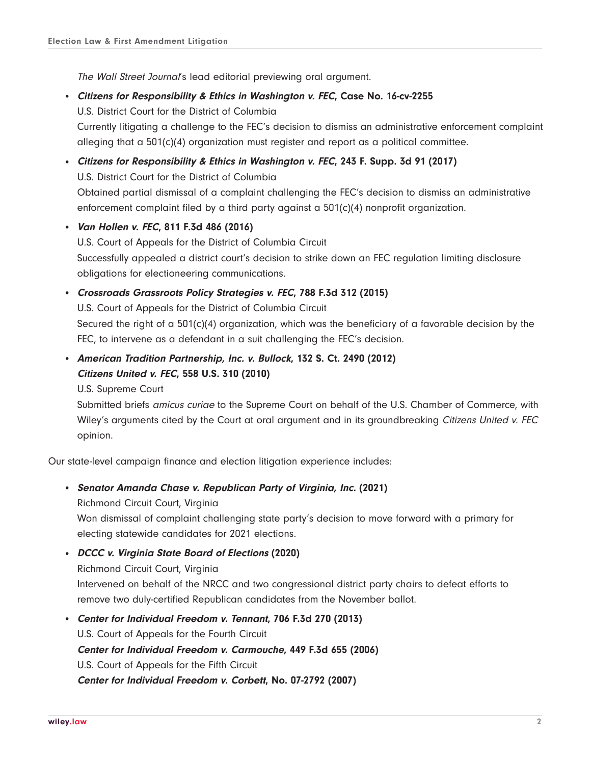The Wall Street Journal's lead editorial previewing oral argument.

- **Citizens for Responsibility & Ethics in Washington v. FEC, Case No. 16-cv-2255** U.S. District Court for the District of Columbia Currently litigating a challenge to the FEC's decision to dismiss an administrative enforcement complaint alleging that a 501(c)(4) organization must register and report as a political committee.
- **Citizens for Responsibility & Ethics in Washington v. FEC, 243 F. Supp. 3d 91 (2017)** U.S. District Court for the District of Columbia Obtained partial dismissal of a complaint challenging the FEC's decision to dismiss an administrative enforcement complaint filed by a third party against a  $501(c)(4)$  nonprofit organization.
- **Van Hollen v. FEC, 811 F.3d 486 (2016)** U.S. Court of Appeals for the District of Columbia Circuit Successfully appealed a district court's decision to strike down an FEC regulation limiting disclosure obligations for electioneering communications.

#### ● **Crossroads Grassroots Policy Strategies v. FEC, 788 F.3d 312 (2015)**

U.S. Court of Appeals for the District of Columbia Circuit Secured the right of a 501(c)(4) organization, which was the beneficiary of a favorable decision by the FEC, to intervene as a defendant in a suit challenging the FEC's decision.

● **American Tradition Partnership, Inc. v. Bullock, 132 S. Ct. 2490 (2012) Citizens United v. FEC, 558 U.S. 310 (2010)**

U.S. Supreme Court

Submitted briefs amicus curiae to the Supreme Court on behalf of the U.S. Chamber of Commerce, with Wiley's arguments cited by the Court at oral argument and in its groundbreaking Citizens United v. FEC opinion.

Our state-level campaign finance and election litigation experience includes:

#### ● **Senator Amanda Chase v. Republican Party of Virginia, Inc. (2021)**

Richmond Circuit Court, Virginia

Won dismissal of complaint challenging state party's decision to move forward with a primary for electing statewide candidates for 2021 elections.

● **DCCC v. Virginia State Board of Elections (2020)**

Richmond Circuit Court, Virginia Intervened on behalf of the NRCC and two congressional district party chairs to defeat efforts to remove two duly-certified Republican candidates from the November ballot.

● **Center for Individual Freedom v. Tennant, 706 F.3d 270 (2013)** U.S. Court of Appeals for the Fourth Circuit **Center for Individual Freedom v. Carmouche, 449 F.3d 655 (2006)** U.S. Court of Appeals for the Fifth Circuit **Center for Individual Freedom v. Corbett, No. 07-2792 (2007)**